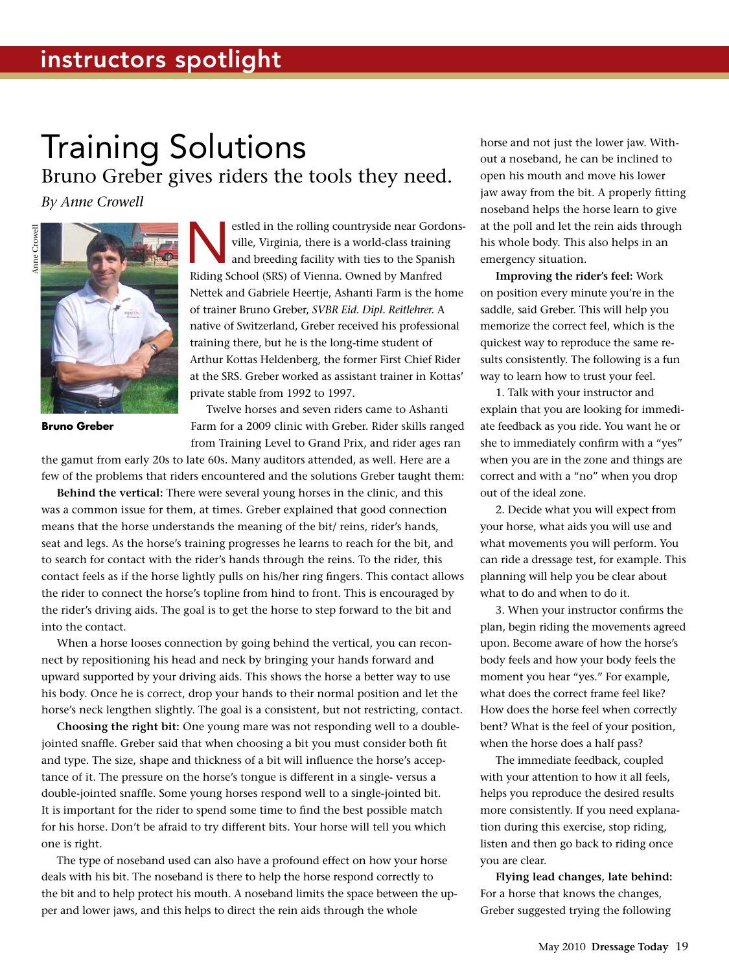## Training Solutions Bruno Greber gives riders the tools they need.

*By Anne Crowell*



**Bruno Greber**

estled in the rolling countryside near Gordons-<br>
ville, Virginia, there is a world-class training<br>
and breeding facility with ties to the Spanish<br>
Riding School (SBS) of Virginia, Quined by Manfred ville, Virginia, there is a world-class training Riding School (SRS) of Vienna. Owned by Manfred Nettek and Gabriele Heertje, Ashanti Farm is the home of trainer Bruno Greber, *SVBR Eid. Dipl. Reitlehrer.* A native of Switzerland, Greber received his professional training there, but he is the long-time student of Arthur Kottas Heldenberg, the former First Chief Rider at the SRS. Greber worked as assistant trainer in Kottas' private stable from 1992 to 1997.

Twelve horses and seven riders came to Ashanti Farm for a 2009 clinic with Greber. Rider skills ranged from Training Level to Grand Prix, and rider ages ran

the gamut from early 20s to late 60s. Many auditors attended, as well. Here are a few of the problems that riders encountered and the solutions Greber taught them:

**Behind the vertical:** There were several young horses in the clinic, and this was a common issue for them, at times. Greber explained that good connection means that the horse understands the meaning of the bit/ reins, rider's hands, seat and legs. As the horse's training progresses he learns to reach for the bit, and to search for contact with the rider's hands through the reins. To the rider, this contact feels as if the horse lightly pulls on his/her ring fingers. This contact allows the rider to connect the horse's topline from hind to front. This is encouraged by the rider's driving aids. The goal is to get the horse to step forward to the bit and into the contact.

When a horse looses connection by going behind the vertical, you can reconnect by repositioning his head and neck by bringing your hands forward and upward supported by your driving aids. This shows the horse a better way to use his body. Once he is correct, drop your hands to their normal position and let the horse's neck lengthen slightly. The goal is a consistent, but not restricting, contact.

**Choosing the right bit:** One young mare was not responding well to a doublejointed snaffle. Greber said that when choosing a bit you must consider both fit and type. The size, shape and thickness of a bit will influence the horse's acceptance of it. The pressure on the horse's tongue is different in a single- versus a double-jointed snaffle. Some young horses respond well to a single-jointed bit. It is important for the rider to spend some time to find the best possible match for his horse. Don't be afraid to try different bits. Your horse will tell you which one is right.

The type of noseband used can also have a profound effect on how your horse deals with his bit. The noseband is there to help the horse respond correctly to the bit and to help protect his mouth. A noseband limits the space between the upper and lower jaws, and this helps to direct the rein aids through the whole

horse and not just the lower jaw. Without a noseband, he can be inclined to open his mouth and move his lower jaw away from the bit. A properly fitting noseband helps the horse learn to give at the poll and let the rein aids through his whole body. This also helps in an emergency situation.

**Improving the rider's feel:** Work on position every minute you're in the saddle, said Greber. This will help you memorize the correct feel, which is the quickest way to reproduce the same results consistently. The following is a fun way to learn how to trust your feel.

1. Talk with your instructor and explain that you are looking for immediate feedback as you ride. You want he or she to immediately confirm with a "yes" when you are in the zone and things are correct and with a "no" when you drop out of the ideal zone.

2. Decide what you will expect from your horse, what aids you will use and what movements you will perform. You can ride a dressage test, for example. This planning will help you be clear about what to do and when to do it.

3. When your instructor confirms the plan, begin riding the movements agreed upon. Become aware of how the horse's body feels and how your body feels the moment you hear "yes." For example, what does the correct frame feel like? How does the horse feel when correctly bent? What is the feel of your position, when the horse does a half pass?

The immediate feedback, coupled with your attention to how it all feels, helps you reproduce the desired results more consistently. If you need explanation during this exercise, stop riding, listen and then go back to riding once you are clear.

**Flying lead changes, late behind:** For a horse that knows the changes, Greber suggested trying the following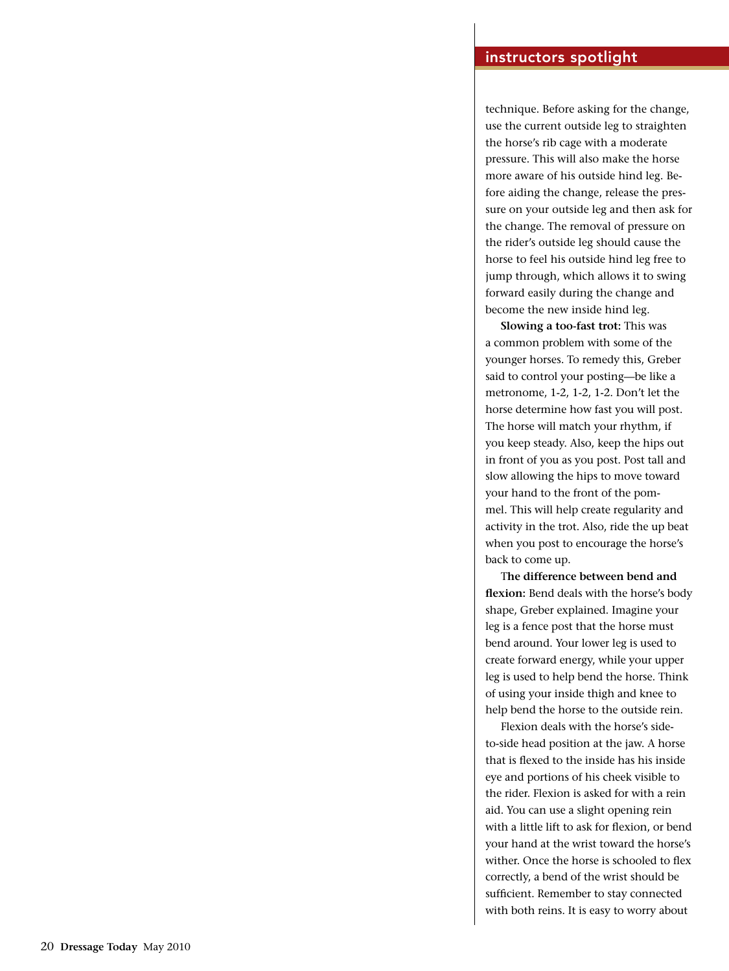technique. Before asking for the change, use the current outside leg to straighten the horse's rib cage with a moderate pressure. This will also make the horse more aware of his outside hind leg. Be fore aiding the change, release the pres sure on your outside leg and then ask for the change. The removal of pressure on the rider's outside leg should cause the horse to feel his outside hind leg free to jump through, which allows it to swing forward easily during the change and become the new inside hind leg.

**Slowing a too-fast trot:** This was a common problem with some of the younger horses. To remedy this, Greber said to control your posting—be like a metronome, 1-2, 1-2, 1-2. Don't let the horse determine how fast you will post. The horse will match your rhythm, if you keep steady. Also, keep the hips out in front of you as you post. Post tall and slow allowing the hips to move toward your hand to the front of the pom mel. This will help create regularity and activity in the trot. Also, ride the up beat when you post to encourage the horse's back to come up.

T**he difference between bend and flexion:** Bend deals with the horse's body shape, Greber explained. Imagine your leg is a fence post that the horse must bend around. Your lower leg is used to create forward energy, while your upper leg is used to help bend the horse. Think of using your inside thigh and knee to help bend the horse to the outside rein.

Flexion deals with the horse's sideto-side head position at the jaw. A horse that is flexed to the inside has his inside eye and portions of his cheek visible to the rider. Flexion is asked for with a rein aid. You can use a slight opening rein with a little lift to ask for flexion, or bend your hand at the wrist toward the horse's wither. Once the horse is schooled to flex correctly, a bend of the wrist should be sufficient. Remember to stay connected with both reins. It is easy to worry about